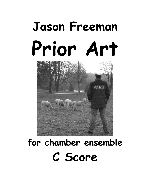# **Jason Freeman Prior Art**



# **for chamber ensemble C Score**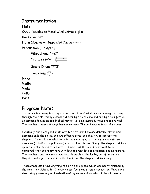## **Instrumentation:**

Flute Oboe (doubles on Metal Wind Chimes (M) Bass Clarinet Horn (doubles on Suspended Cymbal  $(-\cdot)$ ) Percussion [1 player]: Vibraphone  $(\overline{V^{1b}})$  $C$ rotales  $(\triangle)$  $Sn$ are Drum ( $\sqrt{S_{\text{max}}}\$ ) Tam-Tam  $(\overline{\bigcirc})$ Piano Violin Viola Cello Bass

# **Program Note:**

Just a few feet away from my studio, several hundred sheep are making their way through the field, led by a shepherd wearing a black cape and driving a pickup truck. Is someone filming an epic biblical movie? No, I am assured, these sheep are real. The shepherd passes through here every year. The cook always takes him a beer.

Eventually, the flock goes on its way, but five lambs are accidentally left behind. Someone calls the police, and two officers come, and they try to contact the shepherd. No one knows what to do in the meantime, but the lambs are cute, so everyone (including the policemen) starts taking photos. Finally, the shepherd drives up in the pickup truck to retrieve his lambs. But the lambs don't want to be retrieved; they are happy here with lots of grass, lots of attention, and no roaming. The shepherd and policemen have trouble catching the lambs, but after an hour they do finally get them all into the truck, and the shepherd drives away.

These sheep can't have anything to do with this piece, which was nearly finished by the time they visited. But I nevertheless feel some strange connection. Maybe the sheep simply make a good illustration of my surroundings, which in turn influence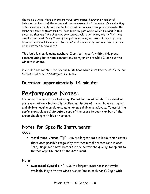the music I write. Maybe there are visual similarities, however coincidental, between the layout of the score and the arrangement of the lambs. Or maybe they offer some impossibly corny metaphor about my compositional process: maybe the lambs are some abstract musical ideas from my past works which I revisit in this piece. So then am I the shepherd who comes back to get them, only to find them unwilling to come? Or am I one of the policemen who just takes pictures of them because he doesn't know what else to do? And how exactly does one take a picture of an abstract musical idea?

This logic is clearly going nowhere. I am just myself, writing this piece, contemplating its various connections to my prior art while I look out the window at sheep.

Prior Art was written for Speculum Musicae while in residence at Akademie Schloss Solitude in Stuttgart, Germany.

# **Duration: approximately 14 minutes**

# **Performance Notes:**

On paper, this music may look easy. Do not be fooled! While the individual parts are not very technically challenging, issues of tuning, balance, timing, and timbre require ample ensemble rehearsal time to address. To assist the performers, please distribute a copy of the score to each member of the ensemble along with his or her part.

# **Notes for Specific Instruments:**

Oboe:

• Metal Wind Chimes ( $\text{min}$ ): Use the largest set available, which covers the widest possible range. Play with two metal beaters (one in each hand). Begin with both beaters in the center and quickly sweep out to the two opposite ends of the instrument.

Horn:

• **Suspended Cymbal** (--): Use the largest, most resonant cymbal available. Play with two wire brushes (one in each hand). Begin with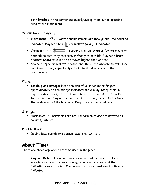both brushes in the center and quickly sweep them out to opposite rims of the instrument.

#### Percussion [1 player]:

- Vibraphone ( $\boxed{V\text{ib}}$ ): Motor should remain off throughout. Use pedal as indicated. Play with bow ( $\boxed{\parallel}$ ) or mallets (ord.) as indicated.
- **Crotales** ( $\triangle$ )  $\frac{p^{15^{n+1}}}{p}$ : Suspend the two crotales (do not mount on a stand) so that they resonate as freely as possible. Play with brass beaters. Crotales sound two octaves higher than written.
- Choice of specific mallets, beater, and sticks for vibraphone, tam-tam, and snare drum (respectively) is left to the discretion of the percussionist.

#### Piano:

• **Inside piano sweeps:** Place the tips of your two index fingers approximately on the strings indicated and quickly sweep them in opposite directions, as far as possible until the soundboard blocks further motion. Play on the portion of the strings which lies between the keyboard and the hammers. Keep the sustain pedal down.

#### Strings:

• **Harmonics:** All harmonics are natural harmonics and are notated as sounding pitches.

Double Bass:

• Double Bass sounds one octave lower than written.

## **About Time:**

There are three approaches to time used in the piece:

• **Regular Meter:** These sections are indicated by a specific time signature and metronome marking, regular noteheads, and the indication regular meter. The conductor should beat regular time as indicated.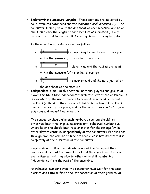• **Indeterminate Measure Lengths:** These sections are indicated by solid, stemless noteheads and the indication each measure  $x-y$ ". The conductor should give only the downbeat of each measure, and he or she should vary the length of each measure as indicated (usually between two and five seconds). Avoid any sense of a regular pulse.

In these sections, rests are used as follows:

 $\equiv$  = player may begin the rest at any point within the measure (of his or her choosing)  $\equiv$  = player may end the rest at any point within the measure (of his or her choosing)  $\circ$   $\frac{1}{\frac{1}{2}}$  = player should end the note just after

the downbeat of the measure

• **Independent Time:** In this section, individual players and groups of players maintain time independently from the rest of the ensemble. It is indicated by the use of diamond-enclosed, numbered rehearsal markings (instead of the circle-enclosed letter rehearsal markings used in the rest of the piece) and by the indications conductor gives only cues and repeat independently.

The conductor should give each numbered cue, but should not otherwise beat time or give measures until rehearsal number six, where he or she should beat regular meter for the strings (while other players continue independently of the conductor). For cues one through five, the amount of time between cues is not indicated; it is completely at the discretion of the conductor.

Players should follow the indications about how to repeat their gestures. Note that the bass clarinet and flute must coordinate with each other so that they play together while still maintaining independence from the rest of the ensemble.

At rehearsal number seven, the conductor must wait for the bass clarinet and flute to finish the last repetition of their gesture, at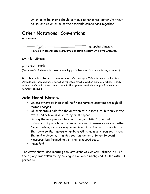which point he or she should continue to rehearsal letter V without pause (and at which point the ensemble comes back together).

# **Other Notational Conventions:**

**n.** = niente

 $\equiv$  = midpoint dynamic  $= (\mathbf{p}) =$ (dynamic in parentheses represents a specific midpoint within the crescendo)

**l.v.** = let vibrate

#### **,** = breath mark

(For non-wind instruments, insert a small gap of silence as if you were taking a breath.)

**Match each attack to previous note's decay** = This notation, attached to a decrescendo, accompanies a series of repeated notes played on piano or crotales. Simply match the dynamic of each new attack to the dynamic to which your previous note has naturally decayed.

# **Additional Notes:**

- Unless otherwise indicated, half note remains constant through all meter changes.
- All accidentals hold for the duration of the measure, but only in the staff and octave in which they first appear.
- During the independent time section (mm. 141-162), not all instrumental parts have the same number of measures as each other. Nevertheless, measure numbering in each part is kept consistent with the score so that measure numbers will remain synchronized through the entire piece. Within this section, do not attempt to count measures, but instead rely on the numbered cues.
- Have fun!

The cover photo, documenting the lost lambs of Schloss Solitude in all of their glory, was taken by my colleague Hoi Wood Chang and is used with his permission.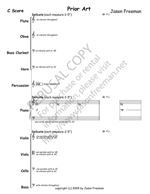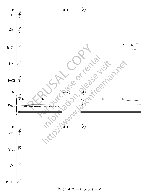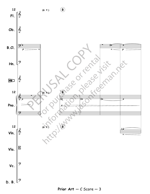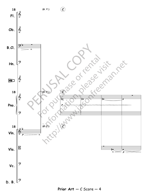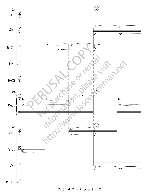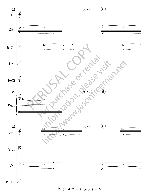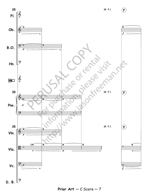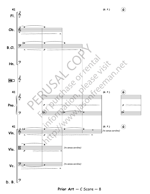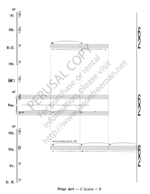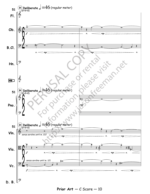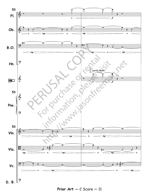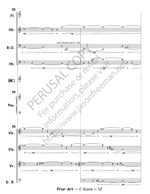

Prior  $Art - C$  Score - 12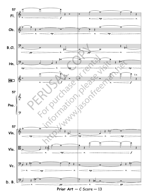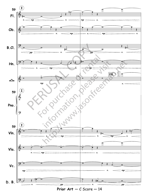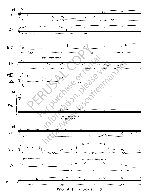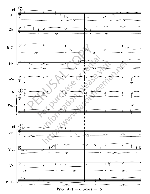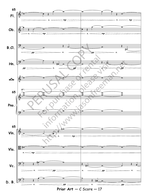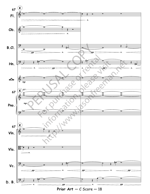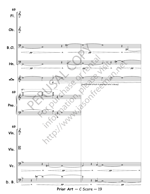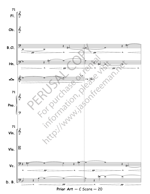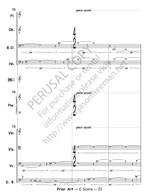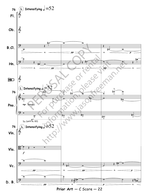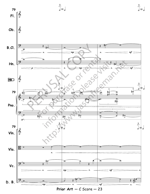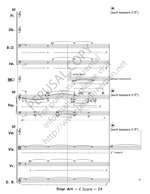

**Prior Art** — C Score — 24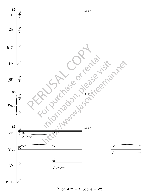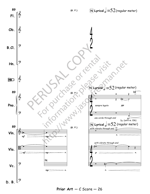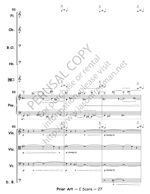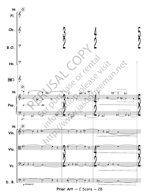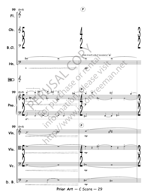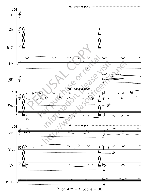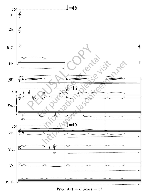

Prior  $Art - C$  Score - 31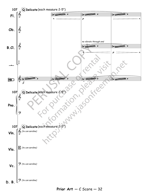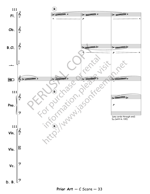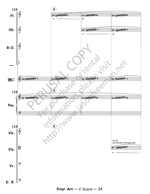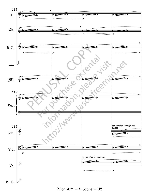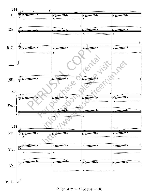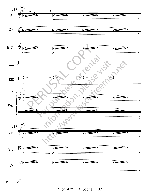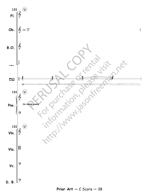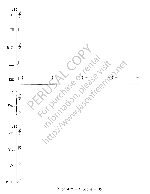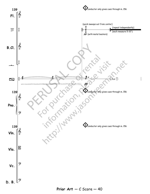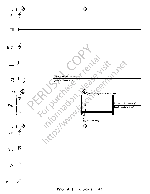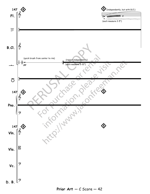![](_page_47_Figure_0.jpeg)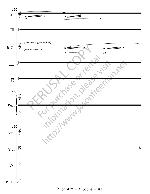![](_page_48_Figure_0.jpeg)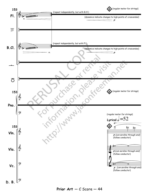![](_page_49_Figure_0.jpeg)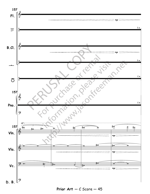![](_page_50_Figure_0.jpeg)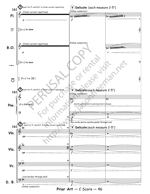![](_page_51_Figure_0.jpeg)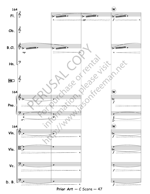![](_page_52_Figure_0.jpeg)

Prior  $Art - C$  Score  $- 47$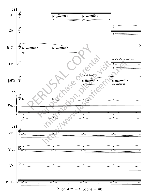![](_page_53_Figure_0.jpeg)

**Prior Art** — C Score — 48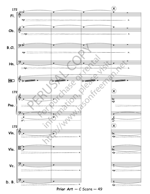![](_page_54_Figure_0.jpeg)

**Prior Art** — C Score — 49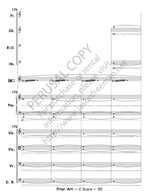![](_page_55_Figure_0.jpeg)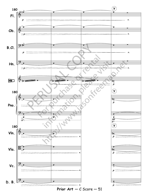![](_page_56_Figure_0.jpeg)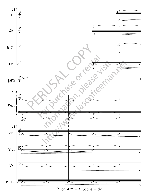![](_page_57_Figure_0.jpeg)

Prior  $Art - C$  Score - 52